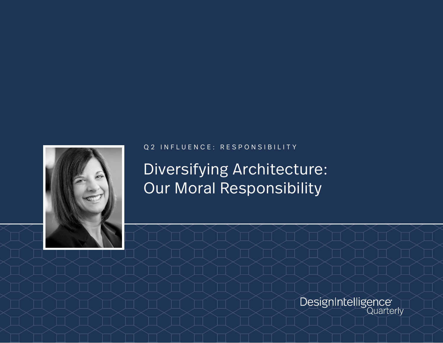

## Q2 INFLUENCE: RESPONSIBILITY

Diversifying Architecture: Our Moral Responsibility

DesignIntelligence<sup>®</sup>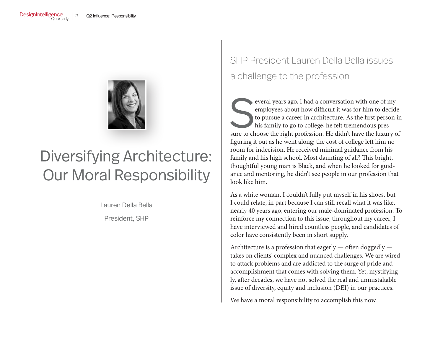

## Diversifying Architecture: Our Moral Responsibility

Lauren Della Bella

President, SHP

## SHP President Lauren Della Bella issues a challenge to the profession

Several years ago, I had a conversation with one of my employees about how difficult it was for him to decide to pursue a career in architecture. As the first person in his family to go to college, he felt tremendous press employees about how difficult it was for him to decide to pursue a career in architecture. As the first person in his family to go to college, he felt tremendous presfiguring it out as he went along; the cost of college left him no room for indecision. He received minimal guidance from his family and his high school. Most daunting of all? This bright, thoughtful young man is Black, and when he looked for guidance and mentoring, he didn't see people in our profession that look like him.

As a white woman, I couldn't fully put myself in his shoes, but I could relate, in part because I can still recall what it was like, nearly 40 years ago, entering our male-dominated profession. To reinforce my connection to this issue, throughout my career, I have interviewed and hired countless people, and candidates of color have consistently been in short supply.

Architecture is a profession that eagerly — often doggedly takes on clients' complex and nuanced challenges. We are wired to attack problems and are addicted to the surge of pride and accomplishment that comes with solving them. Yet, mystifyingly, after decades, we have not solved the real and unmistakable issue of diversity, equity and inclusion (DEI) in our practices.

We have a moral responsibility to accomplish this now.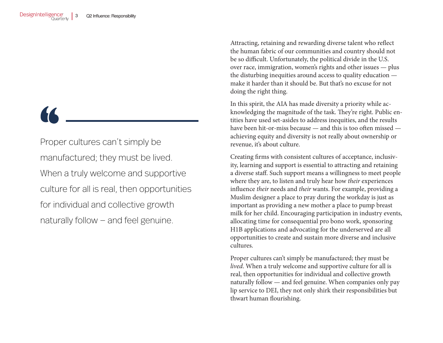Proper cultures can't simply be manufactured; they must be lived. When a truly welcome and supportive culture for all is real, then opportunities for individual and collective growth naturally follow — and feel genuine.

Attracting, retaining and rewarding diverse talent who reflect the human fabric of our communities and country should not be so difficult. Unfortunately, the political divide in the U.S. over race, immigration, women's rights and other issues — plus the disturbing inequities around access to quality education make it harder than it should be. But that's no excuse for not doing the right thing.

In this spirit, the AIA has made diversity a priority while acknowledging the magnitude of the task. They're right. Public entities have used set-asides to address inequities, and the results have been hit-or-miss because — and this is too often missed achieving equity and diversity is not really about ownership or revenue, it's about culture.

Creating firms with consistent cultures of acceptance, inclusivity, learning and support is essential to attracting and retaining a diverse staff. Such support means a willingness to meet people where they are, to listen and truly hear how *their* experiences influence *their* needs and *their* wants. For example, providing a Muslim designer a place to pray during the workday is just as important as providing a new mother a place to pump breast milk for her child. Encouraging participation in industry events, allocating time for consequential pro bono work, sponsoring H1B applications and advocating for the underserved are all opportunities to create and sustain more diverse and inclusive cultures.

Proper cultures can't simply be manufactured; they must be *lived*. When a truly welcome and supportive culture for all is real, then opportunities for individual and collective growth naturally follow — and feel genuine. When companies only pay lip service to DEI, they not only shirk their responsibilities but thwart human flourishing.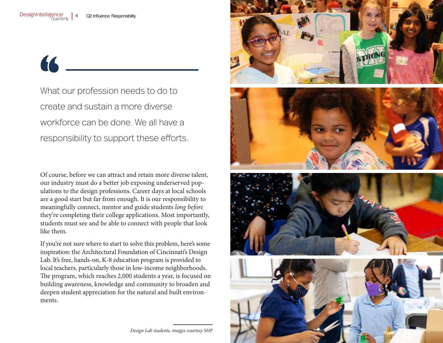66

What our profession needs to do to create and sustain a more diverse workforce can be done. We all have a responsibility to support these efforts.

Of course, before we can attract and retain more diverse talent, our industry must do a better job exposing underserved populations to the design professions. Career days at local schools are a good start but far from enough. It is our responsibility to meaningfully connect, mentor and guide students *long before* they're completing their college applications. Most importantly, students must see and be able to connect with people that look like them.

If you're not sure where to start to solve this problem, here's some inspiration: the Architectural Foundation of Cincinnati's Design Lab. It's free, hands-on, K-8 education program is provided to local teachers, particularly those in low-income neighborhoods. The program, which reaches 2,000 students a year, is focused on building awareness, knowledge and community to broaden and deepen student appreciation for the natural and built environments.



*Design Lab students, images courtesy SHP*